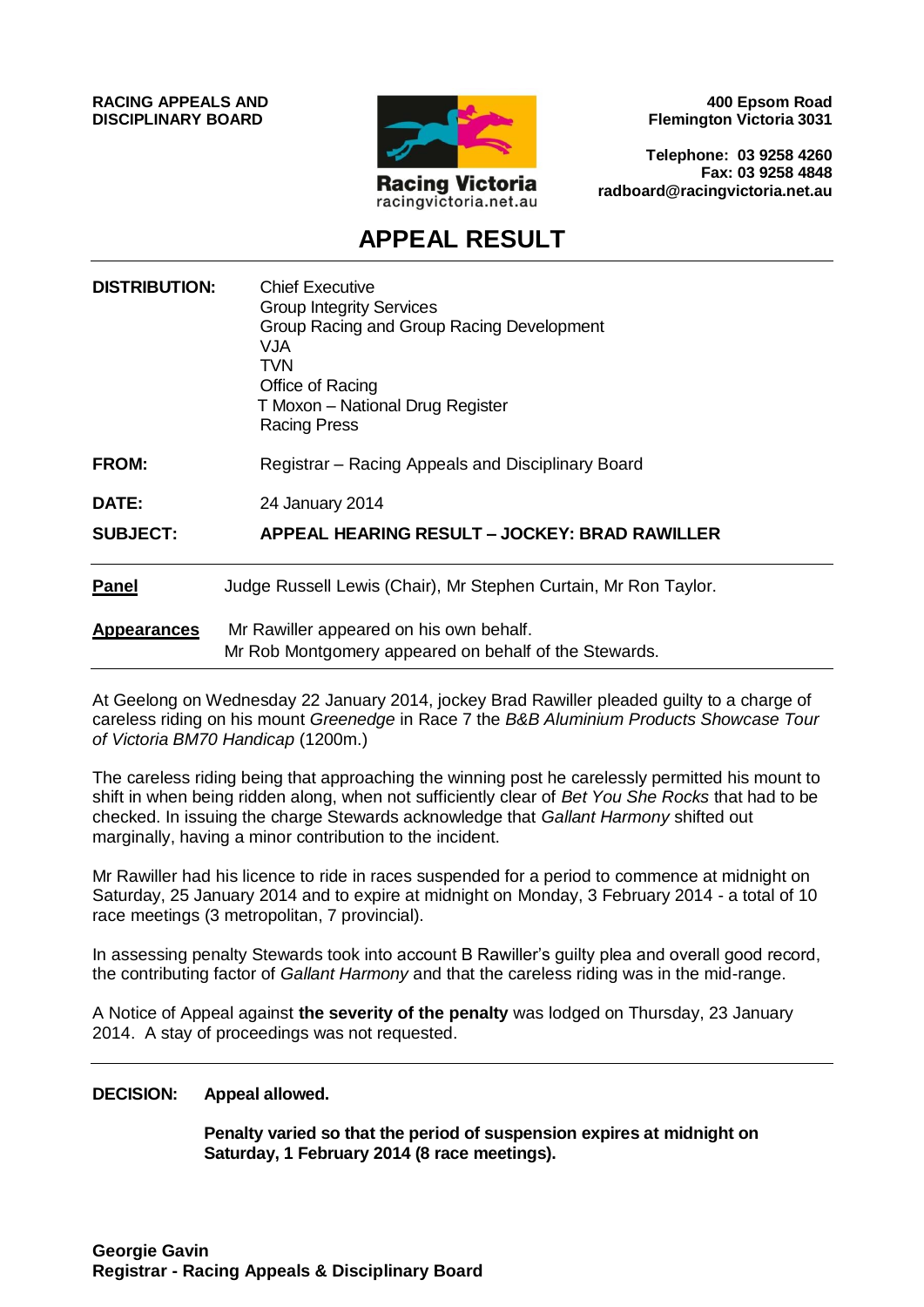**RACING APPEALS AND DISCIPLINARY BOARD**



**400 Epsom Road Flemington Victoria 3031**

**Telephone: 03 9258 4260 Fax: 03 9258 4848 radboard@racingvictoria.net.au**

## **APPEAL RESULT**

| <b>DISTRIBUTION:</b> | <b>Chief Executive</b><br><b>Group Integrity Services</b><br>Group Racing and Group Racing Development<br><b>VJA</b><br>TVN<br>Office of Racing<br>T Moxon - National Drug Register<br><b>Racing Press</b> |
|----------------------|------------------------------------------------------------------------------------------------------------------------------------------------------------------------------------------------------------|
| <b>FROM:</b>         | Registrar - Racing Appeals and Disciplinary Board                                                                                                                                                          |
| DATE:                | 24 January 2014                                                                                                                                                                                            |
| <b>SUBJECT:</b>      | APPEAL HEARING RESULT - JOCKEY: BRAD RAWILLER                                                                                                                                                              |
| <b>Panel</b>         | Judge Russell Lewis (Chair), Mr Stephen Curtain, Mr Ron Taylor.                                                                                                                                            |
| <b>Appearances</b>   | Mr Rawiller appeared on his own behalf.<br>Mr Rob Montgomery appeared on behalf of the Stewards.                                                                                                           |

At Geelong on Wednesday 22 January 2014, jockey Brad Rawiller pleaded guilty to a charge of careless riding on his mount *Greenedge* in Race 7 the *B&B Aluminium Products Showcase Tour of Victoria BM70 Handicap* (1200m.)

The careless riding being that approaching the winning post he carelessly permitted his mount to shift in when being ridden along, when not sufficiently clear of *Bet You She Rocks* that had to be checked. In issuing the charge Stewards acknowledge that *Gallant Harmony* shifted out marginally, having a minor contribution to the incident.

Mr Rawiller had his licence to ride in races suspended for a period to commence at midnight on Saturday, 25 January 2014 and to expire at midnight on Monday, 3 February 2014 - a total of 10 race meetings (3 metropolitan, 7 provincial).

In assessing penalty Stewards took into account B Rawiller's guilty plea and overall good record, the contributing factor of *Gallant Harmony* and that the careless riding was in the mid-range.

A Notice of Appeal against **the severity of the penalty** was lodged on Thursday, 23 January 2014. A stay of proceedings was not requested.

#### **DECISION: Appeal allowed.**

**Penalty varied so that the period of suspension expires at midnight on Saturday, 1 February 2014 (8 race meetings).**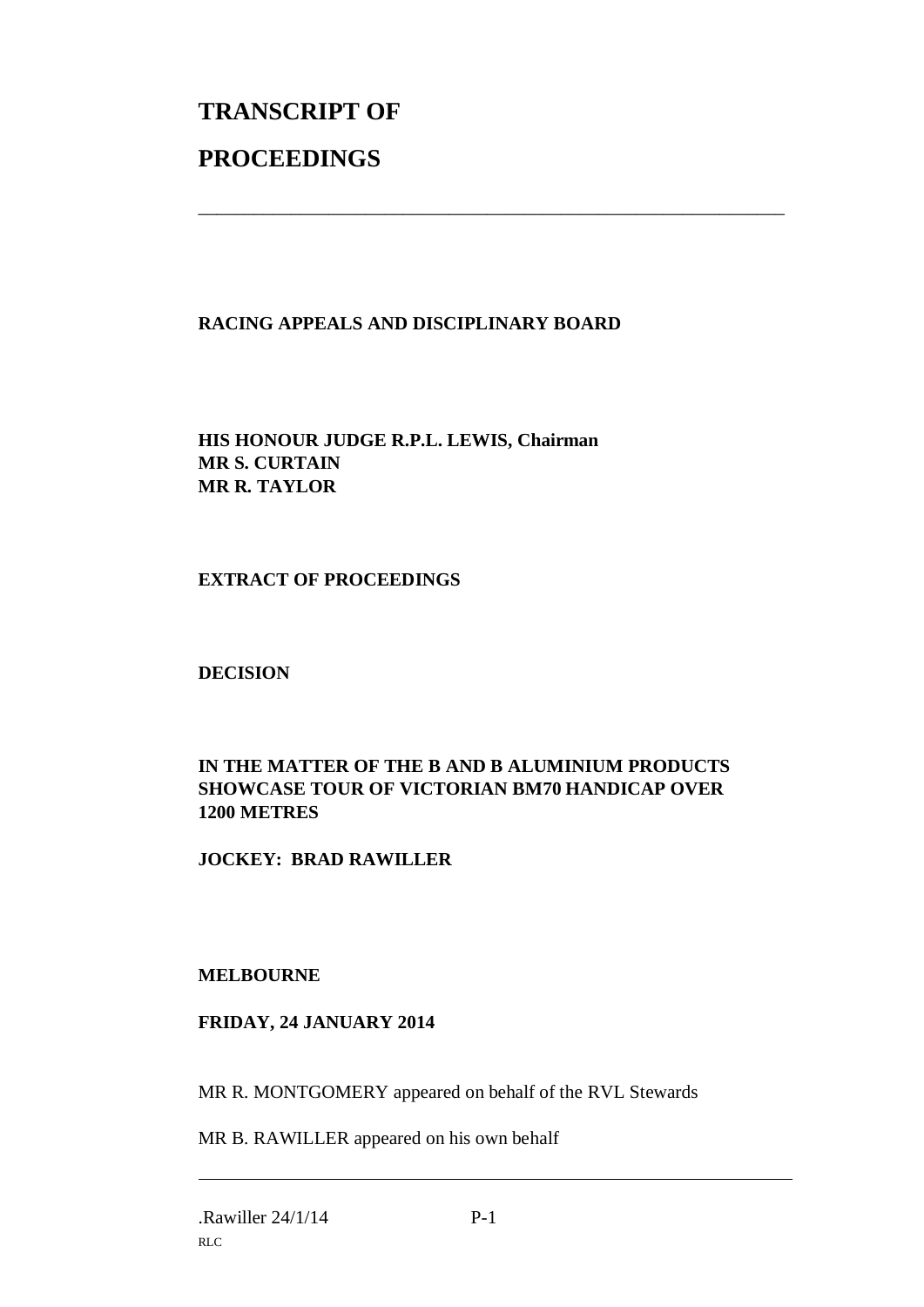# **TRANSCRIPT OF PROCEEDINGS**

### **RACING APPEALS AND DISCIPLINARY BOARD**

\_\_\_\_\_\_\_\_\_\_\_\_\_\_\_\_\_\_\_\_\_\_\_\_\_\_\_\_\_\_\_\_\_\_\_\_\_\_\_\_\_\_\_\_\_\_\_\_\_\_\_\_\_\_\_\_\_\_\_\_\_\_\_

**HIS HONOUR JUDGE R.P.L. LEWIS, Chairman MR S. CURTAIN MR R. TAYLOR**

**EXTRACT OF PROCEEDINGS**

**DECISION**

### **IN THE MATTER OF THE B AND B ALUMINIUM PRODUCTS SHOWCASE TOUR OF VICTORIAN BM70 HANDICAP OVER 1200 METRES**

**JOCKEY: BRAD RAWILLER**

#### **MELBOURNE**

#### **FRIDAY, 24 JANUARY 2014**

MR R. MONTGOMERY appeared on behalf of the RVL Stewards

MR B. RAWILLER appeared on his own behalf